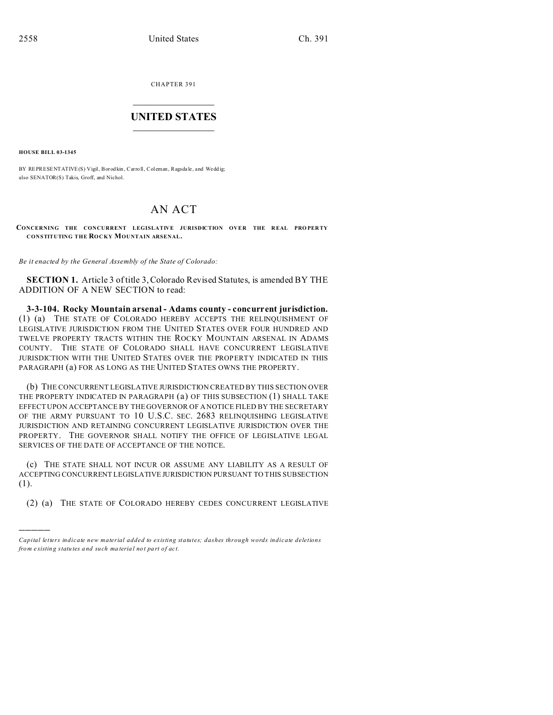CHAPTER 391  $\overline{\phantom{a}}$  , where  $\overline{\phantom{a}}$ 

## **UNITED STATES** \_\_\_\_\_\_\_\_\_\_\_\_\_\_\_

**HOUSE BILL 03-1345**

)))))

BY REPRESENTATIVE(S) Vigil, Borod kin, Carroll, Coleman, Ragsda le, and Weddig; also SENATOR(S) Takis, Groff, and Nichol.

## AN ACT

**CONCERNING THE CONCURRENT LEGISLATIVE JURISDICTION OVER THE REAL PROPERTY CONSTITUTING THE ROCKY MOUNTAIN ARSENAL.**

*Be it enacted by the General Assembly of the State of Colorado:*

**SECTION 1.** Article 3 of title 3, Colorado Revised Statutes, is amended BY THE ADDITION OF A NEW SECTION to read:

**3-3-104. Rocky Mountain arsenal - Adams county - concurrent jurisdiction.** (1) (a) THE STATE OF COLORADO HEREBY ACCEPTS THE RELINQUISHMENT OF LEGISLATIVE JURISDICTION FROM THE UNITED STATES OVER FOUR HUNDRED AND TWELVE PROPERTY TRACTS WITHIN THE ROCKY MOUNTAIN ARSENAL IN ADAMS COUNTY. THE STATE OF COLORADO SHALL HAVE CONCURRENT LEGISLATIVE JURISDICTION WITH THE UNITED STATES OVER THE PROPERTY INDICATED IN THIS PARAGRAPH (a) FOR AS LONG AS THE UNITED STATES OWNS THE PROPERTY.

(b) THE CONCURRENT LEGISLATIVE JURISDICTION CREATED BY THIS SECTION OVER THE PROPERTY INDICATED IN PARAGRAPH (a) OF THIS SUBSECTION (1) SHALL TAKE EFFECT UPON ACCEPTANCE BY THE GOVERNOR OF A NOTICE FILED BY THE SECRETARY OF THE ARMY PURSUANT TO 10 U.S.C. SEC. 2683 RELINQUISHING LEGISLATIVE JURISDICTION AND RETAINING CONCURRENT LEGISLATIVE JURISDICTION OVER THE PROPERTY. THE GOVERNOR SHALL NOTIFY THE OFFICE OF LEGISLATIVE LEGAL SERVICES OF THE DATE OF ACCEPTANCE OF THE NOTICE.

(c) THE STATE SHALL NOT INCUR OR ASSUME ANY LIABILITY AS A RESULT OF ACCEPTING CONCURRENT LEGISLATIVE JURISDICTION PURSUANT TO THIS SUBSECTION (1).

(2) (a) THE STATE OF COLORADO HEREBY CEDES CONCURRENT LEGISLATIVE

*Capital letters indicate new material added to existing statutes; dashes through words indicate deletions from e xistin g statu tes a nd such ma teria l no t pa rt of ac t.*